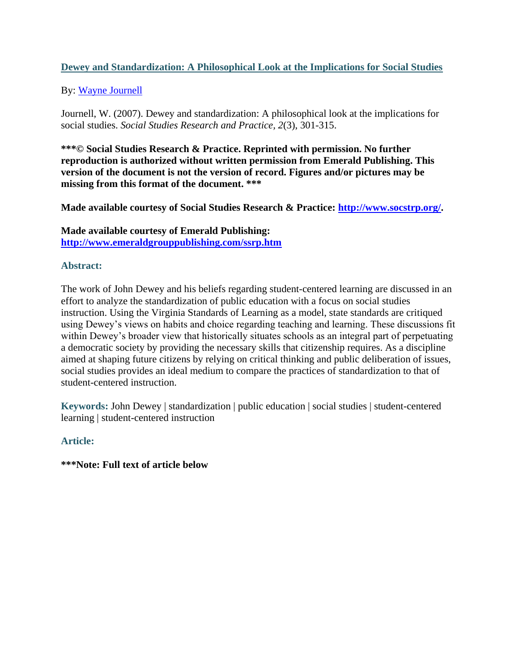# **Dewey and Standardization: A Philosophical Look at the Implications for Social Studies**

# By: [Wayne Journell](http://libres.uncg.edu/ir/uncg/clist.aspx?id=3834)

Journell, W. (2007). Dewey and standardization: A philosophical look at the implications for social studies. *Social Studies Research and Practice, 2*(3), 301-315.

**\*\*\*© Social Studies Research & Practice. Reprinted with permission. No further reproduction is authorized without written permission from Emerald Publishing. This version of the document is not the version of record. Figures and/or pictures may be missing from this format of the document. \*\*\***

**Made available courtesy of Social Studies Research & Practice: [http://www.socstrp.org/.](http://www.socstrp.org/)**

**Made available courtesy of Emerald Publishing: <http://www.emeraldgrouppublishing.com/ssrp.htm>**

## **Abstract:**

The work of John Dewey and his beliefs regarding student-centered learning are discussed in an effort to analyze the standardization of public education with a focus on social studies instruction. Using the Virginia Standards of Learning as a model, state standards are critiqued using Dewey's views on habits and choice regarding teaching and learning. These discussions fit within Dewey's broader view that historically situates schools as an integral part of perpetuating a democratic society by providing the necessary skills that citizenship requires. As a discipline aimed at shaping future citizens by relying on critical thinking and public deliberation of issues, social studies provides an ideal medium to compare the practices of standardization to that of student-centered instruction.

**Keywords:** John Dewey | standardization | public education | social studies | student-centered learning | student-centered instruction

# **Article:**

**\*\*\*Note: Full text of article below**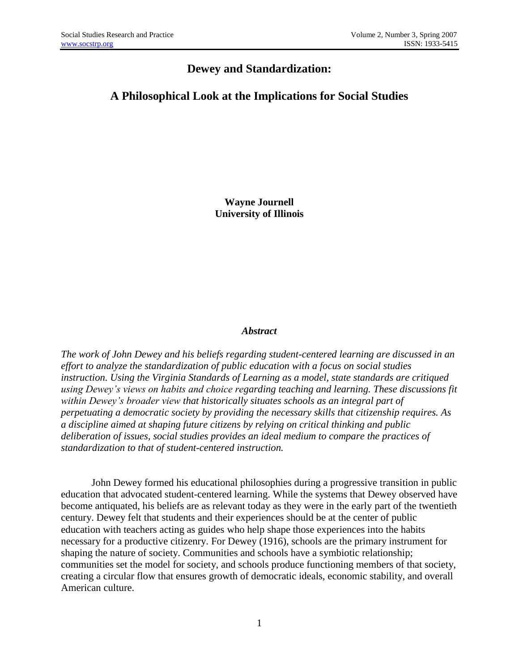# **Dewey and Standardization:**

# **A Philosophical Look at the Implications for Social Studies**

**Wayne Journell University of Illinois**

## *Abstract*

*The work of John Dewey and his beliefs regarding student-centered learning are discussed in an effort to analyze the standardization of public education with a focus on social studies instruction. Using the Virginia Standards of Learning as a model, state standards are critiqued using Dewey's views on habits and choice regarding teaching and learning. These discussions fit within Dewey's broader view that historically situates schools as an integral part of perpetuating a democratic society by providing the necessary skills that citizenship requires. As a discipline aimed at shaping future citizens by relying on critical thinking and public deliberation of issues, social studies provides an ideal medium to compare the practices of standardization to that of student-centered instruction.*

John Dewey formed his educational philosophies during a progressive transition in public education that advocated student-centered learning. While the systems that Dewey observed have become antiquated, his beliefs are as relevant today as they were in the early part of the twentieth century. Dewey felt that students and their experiences should be at the center of public education with teachers acting as guides who help shape those experiences into the habits necessary for a productive citizenry. For Dewey (1916), schools are the primary instrument for shaping the nature of society. Communities and schools have a symbiotic relationship; communities set the model for society, and schools produce functioning members of that society, creating a circular flow that ensures growth of democratic ideals, economic stability, and overall American culture.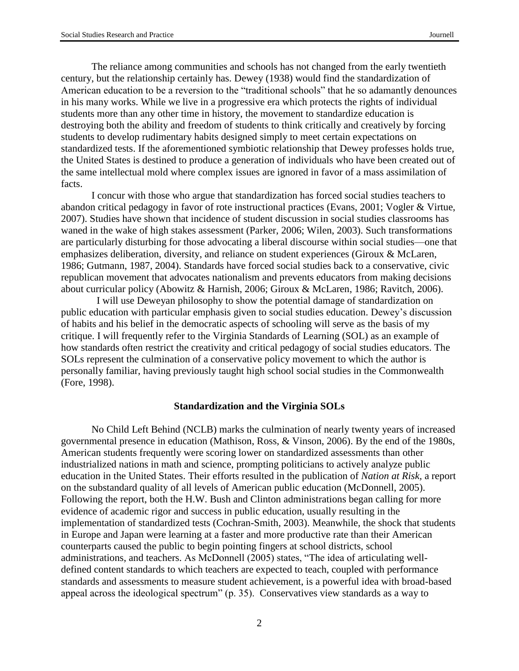The reliance among communities and schools has not changed from the early twentieth century, but the relationship certainly has. Dewey (1938) would find the standardization of American education to be a reversion to the "traditional schools" that he so adamantly denounces in his many works. While we live in a progressive era which protects the rights of individual students more than any other time in history, the movement to standardize education is destroying both the ability and freedom of students to think critically and creatively by forcing students to develop rudimentary habits designed simply to meet certain expectations on standardized tests. If the aforementioned symbiotic relationship that Dewey professes holds true, the United States is destined to produce a generation of individuals who have been created out of the same intellectual mold where complex issues are ignored in favor of a mass assimilation of facts.

I concur with those who argue that standardization has forced social studies teachers to abandon critical pedagogy in favor of rote instructional practices (Evans, 2001; Vogler & Virtue, 2007). Studies have shown that incidence of student discussion in social studies classrooms has waned in the wake of high stakes assessment (Parker, 2006; Wilen, 2003). Such transformations are particularly disturbing for those advocating a liberal discourse within social studies—one that emphasizes deliberation, diversity, and reliance on student experiences (Giroux & McLaren, 1986; Gutmann, 1987, 2004). Standards have forced social studies back to a conservative, civic republican movement that advocates nationalism and prevents educators from making decisions about curricular policy (Abowitz & Harnish, 2006; Giroux & McLaren, 1986; Ravitch, 2006).

 I will use Deweyan philosophy to show the potential damage of standardization on public education with particular emphasis given to social studies education. Dewey's discussion of habits and his belief in the democratic aspects of schooling will serve as the basis of my critique. I will frequently refer to the Virginia Standards of Learning (SOL) as an example of how standards often restrict the creativity and critical pedagogy of social studies educators. The SOLs represent the culmination of a conservative policy movement to which the author is personally familiar, having previously taught high school social studies in the Commonwealth (Fore, 1998).

#### **Standardization and the Virginia SOLs**

No Child Left Behind (NCLB) marks the culmination of nearly twenty years of increased governmental presence in education (Mathison, Ross, & Vinson, 2006). By the end of the 1980s, American students frequently were scoring lower on standardized assessments than other industrialized nations in math and science, prompting politicians to actively analyze public education in the United States. Their efforts resulted in the publication of *Nation at Risk,* a report on the substandard quality of all levels of American public education (McDonnell, 2005). Following the report, both the H.W. Bush and Clinton administrations began calling for more evidence of academic rigor and success in public education, usually resulting in the implementation of standardized tests (Cochran-Smith, 2003). Meanwhile, the shock that students in Europe and Japan were learning at a faster and more productive rate than their American counterparts caused the public to begin pointing fingers at school districts, school administrations, and teachers. As McDonnell (2005) states, "The idea of articulating welldefined content standards to which teachers are expected to teach, coupled with performance standards and assessments to measure student achievement, is a powerful idea with broad-based appeal across the ideological spectrum" (p. 35). Conservatives view standards as a way to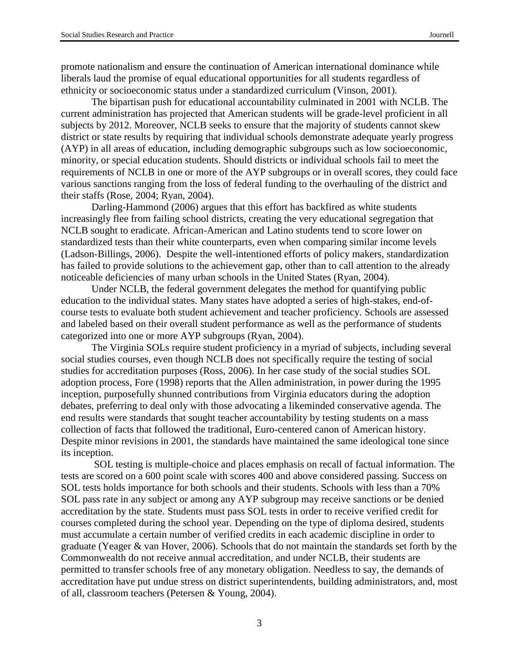promote nationalism and ensure the continuation of American international dominance while liberals laud the promise of equal educational opportunities for all students regardless of ethnicity or socioeconomic status under a standardized curriculum (Vinson, 2001).

The bipartisan push for educational accountability culminated in 2001 with NCLB. The current administration has projected that American students will be grade-level proficient in all subjects by 2012. Moreover, NCLB seeks to ensure that the majority of students cannot skew district or state results by requiring that individual schools demonstrate adequate yearly progress (AYP) in all areas of education, including demographic subgroups such as low socioeconomic, minority, or special education students. Should districts or individual schools fail to meet the requirements of NCLB in one or more of the AYP subgroups or in overall scores, they could face various sanctions ranging from the loss of federal funding to the overhauling of the district and their staffs (Rose, 2004; Ryan, 2004).

Darling-Hammond (2006) argues that this effort has backfired as white students increasingly flee from failing school districts, creating the very educational segregation that NCLB sought to eradicate. African-American and Latino students tend to score lower on standardized tests than their white counterparts, even when comparing similar income levels (Ladson-Billings, 2006). Despite the well-intentioned efforts of policy makers, standardization has failed to provide solutions to the achievement gap, other than to call attention to the already noticeable deficiencies of many urban schools in the United States (Ryan, 2004).

Under NCLB, the federal government delegates the method for quantifying public education to the individual states. Many states have adopted a series of high-stakes, end-ofcourse tests to evaluate both student achievement and teacher proficiency. Schools are assessed and labeled based on their overall student performance as well as the performance of students categorized into one or more AYP subgroups (Ryan, 2004).

The Virginia SOLs require student proficiency in a myriad of subjects, including several social studies courses, even though NCLB does not specifically require the testing of social studies for accreditation purposes (Ross, 2006). In her case study of the social studies SOL adoption process, Fore (1998) reports that the Allen administration, in power during the 1995 inception, purposefully shunned contributions from Virginia educators during the adoption debates, preferring to deal only with those advocating a likeminded conservative agenda. The end results were standards that sought teacher accountability by testing students on a mass collection of facts that followed the traditional, Euro-centered canon of American history. Despite minor revisions in 2001, the standards have maintained the same ideological tone since its inception.

SOL testing is multiple-choice and places emphasis on recall of factual information. The tests are scored on a 600 point scale with scores 400 and above considered passing. Success on SOL tests holds importance for both schools and their students. Schools with less than a 70% SOL pass rate in any subject or among any AYP subgroup may receive sanctions or be denied accreditation by the state. Students must pass SOL tests in order to receive verified credit for courses completed during the school year. Depending on the type of diploma desired, students must accumulate a certain number of verified credits in each academic discipline in order to graduate (Yeager & van Hover, 2006). Schools that do not maintain the standards set forth by the Commonwealth do not receive annual accreditation, and under NCLB, their students are permitted to transfer schools free of any monetary obligation. Needless to say, the demands of accreditation have put undue stress on district superintendents, building administrators, and, most of all, classroom teachers (Petersen & Young, 2004).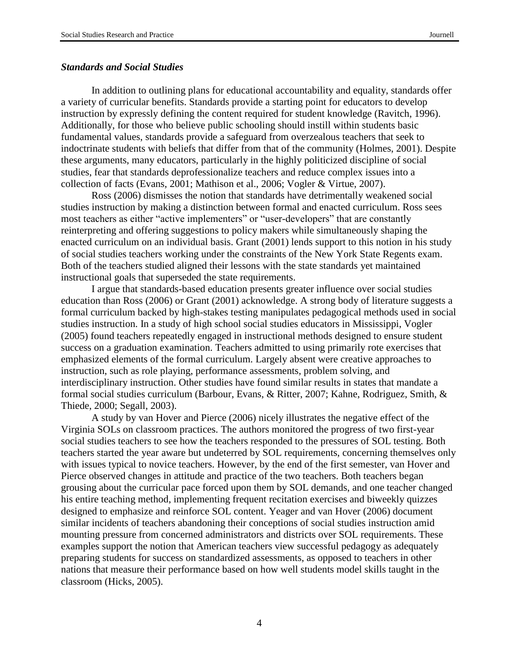#### *Standards and Social Studies*

In addition to outlining plans for educational accountability and equality, standards offer a variety of curricular benefits. Standards provide a starting point for educators to develop instruction by expressly defining the content required for student knowledge (Ravitch, 1996). Additionally, for those who believe public schooling should instill within students basic fundamental values, standards provide a safeguard from overzealous teachers that seek to indoctrinate students with beliefs that differ from that of the community (Holmes, 2001). Despite these arguments, many educators, particularly in the highly politicized discipline of social studies, fear that standards deprofessionalize teachers and reduce complex issues into a collection of facts (Evans, 2001; Mathison et al., 2006; Vogler & Virtue, 2007).

Ross (2006) dismisses the notion that standards have detrimentally weakened social studies instruction by making a distinction between formal and enacted curriculum. Ross sees most teachers as either "active implementers" or "user-developers" that are constantly reinterpreting and offering suggestions to policy makers while simultaneously shaping the enacted curriculum on an individual basis. Grant (2001) lends support to this notion in his study of social studies teachers working under the constraints of the New York State Regents exam. Both of the teachers studied aligned their lessons with the state standards yet maintained instructional goals that superseded the state requirements.

I argue that standards-based education presents greater influence over social studies education than Ross (2006) or Grant (2001) acknowledge. A strong body of literature suggests a formal curriculum backed by high-stakes testing manipulates pedagogical methods used in social studies instruction. In a study of high school social studies educators in Mississippi, Vogler (2005) found teachers repeatedly engaged in instructional methods designed to ensure student success on a graduation examination. Teachers admitted to using primarily rote exercises that emphasized elements of the formal curriculum. Largely absent were creative approaches to instruction, such as role playing, performance assessments, problem solving, and interdisciplinary instruction. Other studies have found similar results in states that mandate a formal social studies curriculum (Barbour, Evans, & Ritter, 2007; Kahne, Rodriguez, Smith, & Thiede, 2000; Segall, 2003).

A study by van Hover and Pierce (2006) nicely illustrates the negative effect of the Virginia SOLs on classroom practices. The authors monitored the progress of two first-year social studies teachers to see how the teachers responded to the pressures of SOL testing. Both teachers started the year aware but undeterred by SOL requirements, concerning themselves only with issues typical to novice teachers. However, by the end of the first semester, van Hover and Pierce observed changes in attitude and practice of the two teachers. Both teachers began grousing about the curricular pace forced upon them by SOL demands, and one teacher changed his entire teaching method, implementing frequent recitation exercises and biweekly quizzes designed to emphasize and reinforce SOL content. Yeager and van Hover (2006) document similar incidents of teachers abandoning their conceptions of social studies instruction amid mounting pressure from concerned administrators and districts over SOL requirements. These examples support the notion that American teachers view successful pedagogy as adequately preparing students for success on standardized assessments, as opposed to teachers in other nations that measure their performance based on how well students model skills taught in the classroom (Hicks, 2005).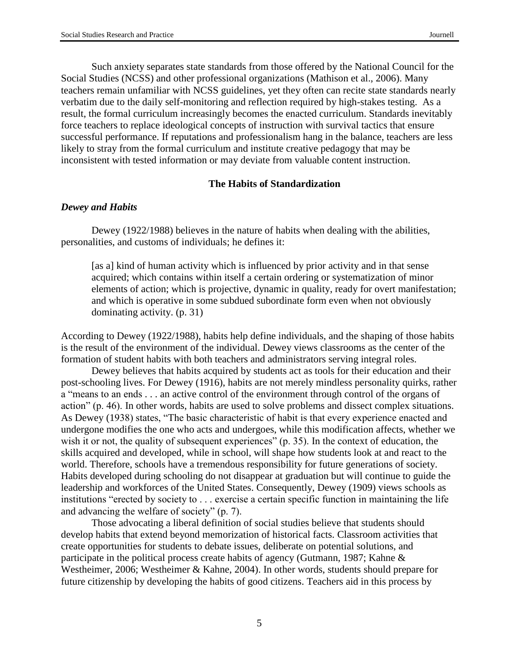Such anxiety separates state standards from those offered by the National Council for the Social Studies (NCSS) and other professional organizations (Mathison et al., 2006). Many teachers remain unfamiliar with NCSS guidelines, yet they often can recite state standards nearly verbatim due to the daily self-monitoring and reflection required by high-stakes testing. As a result, the formal curriculum increasingly becomes the enacted curriculum. Standards inevitably force teachers to replace ideological concepts of instruction with survival tactics that ensure successful performance. If reputations and professionalism hang in the balance, teachers are less likely to stray from the formal curriculum and institute creative pedagogy that may be inconsistent with tested information or may deviate from valuable content instruction.

### **The Habits of Standardization**

#### *Dewey and Habits*

Dewey (1922/1988) believes in the nature of habits when dealing with the abilities, personalities, and customs of individuals; he defines it:

[as a] kind of human activity which is influenced by prior activity and in that sense acquired; which contains within itself a certain ordering or systematization of minor elements of action; which is projective, dynamic in quality, ready for overt manifestation; and which is operative in some subdued subordinate form even when not obviously dominating activity. (p. 31)

According to Dewey (1922/1988), habits help define individuals, and the shaping of those habits is the result of the environment of the individual. Dewey views classrooms as the center of the formation of student habits with both teachers and administrators serving integral roles.

Dewey believes that habits acquired by students act as tools for their education and their post-schooling lives. For Dewey (1916), habits are not merely mindless personality quirks, rather a "means to an ends . . . an active control of the environment through control of the organs of action" (p. 46). In other words, habits are used to solve problems and dissect complex situations. As Dewey (1938) states, "The basic characteristic of habit is that every experience enacted and undergone modifies the one who acts and undergoes, while this modification affects, whether we wish it or not, the quality of subsequent experiences" (p. 35). In the context of education, the skills acquired and developed, while in school, will shape how students look at and react to the world. Therefore, schools have a tremendous responsibility for future generations of society. Habits developed during schooling do not disappear at graduation but will continue to guide the leadership and workforces of the United States. Consequently, Dewey (1909) views schools as institutions "erected by society to . . . exercise a certain specific function in maintaining the life and advancing the welfare of society" (p. 7).

Those advocating a liberal definition of social studies believe that students should develop habits that extend beyond memorization of historical facts. Classroom activities that create opportunities for students to debate issues, deliberate on potential solutions, and participate in the political process create habits of agency (Gutmann, 1987; Kahne & Westheimer, 2006; Westheimer & Kahne, 2004). In other words, students should prepare for future citizenship by developing the habits of good citizens. Teachers aid in this process by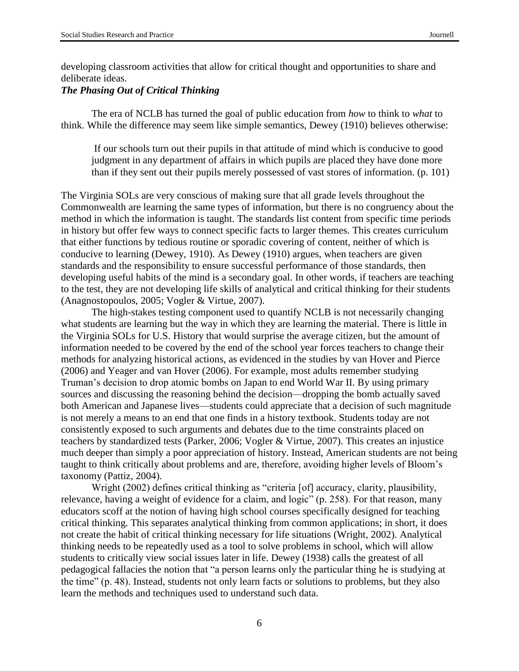developing classroom activities that allow for critical thought and opportunities to share and deliberate ideas.

## *The Phasing Out of Critical Thinking*

The era of NCLB has turned the goal of public education from *how* to think to *what* to think. While the difference may seem like simple semantics, Dewey (1910) believes otherwise:

If our schools turn out their pupils in that attitude of mind which is conducive to good judgment in any department of affairs in which pupils are placed they have done more than if they sent out their pupils merely possessed of vast stores of information. (p. 101)

The Virginia SOLs are very conscious of making sure that all grade levels throughout the Commonwealth are learning the same types of information, but there is no congruency about the method in which the information is taught. The standards list content from specific time periods in history but offer few ways to connect specific facts to larger themes. This creates curriculum that either functions by tedious routine or sporadic covering of content, neither of which is conducive to learning (Dewey, 1910). As Dewey (1910) argues, when teachers are given standards and the responsibility to ensure successful performance of those standards, then developing useful habits of the mind is a secondary goal. In other words, if teachers are teaching to the test, they are not developing life skills of analytical and critical thinking for their students (Anagnostopoulos, 2005; Vogler & Virtue, 2007).

The high-stakes testing component used to quantify NCLB is not necessarily changing what students are learning but the way in which they are learning the material. There is little in the Virginia SOLs for U.S. History that would surprise the average citizen, but the amount of information needed to be covered by the end of the school year forces teachers to change their methods for analyzing historical actions, as evidenced in the studies by van Hover and Pierce (2006) and Yeager and van Hover (2006). For example, most adults remember studying Truman's decision to drop atomic bombs on Japan to end World War II. By using primary sources and discussing the reasoning behind the decision—dropping the bomb actually saved both American and Japanese lives—students could appreciate that a decision of such magnitude is not merely a means to an end that one finds in a history textbook. Students today are not consistently exposed to such arguments and debates due to the time constraints placed on teachers by standardized tests (Parker, 2006; Vogler & Virtue, 2007). This creates an injustice much deeper than simply a poor appreciation of history. Instead, American students are not being taught to think critically about problems and are, therefore, avoiding higher levels of Bloom's taxonomy (Pattiz, 2004).

Wright (2002) defines critical thinking as "criteria [of] accuracy, clarity, plausibility, relevance, having a weight of evidence for a claim, and logic" (p. 258). For that reason, many educators scoff at the notion of having high school courses specifically designed for teaching critical thinking. This separates analytical thinking from common applications; in short, it does not create the habit of critical thinking necessary for life situations (Wright, 2002). Analytical thinking needs to be repeatedly used as a tool to solve problems in school, which will allow students to critically view social issues later in life. Dewey (1938) calls the greatest of all pedagogical fallacies the notion that "a person learns only the particular thing he is studying at the time" (p. 48). Instead, students not only learn facts or solutions to problems, but they also learn the methods and techniques used to understand such data.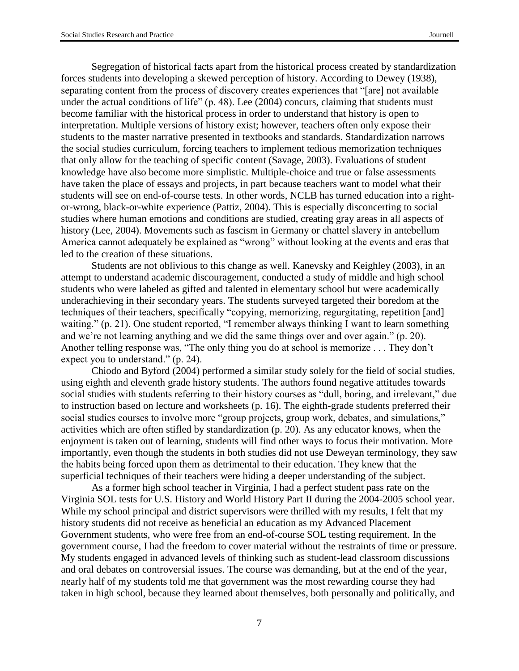Segregation of historical facts apart from the historical process created by standardization forces students into developing a skewed perception of history. According to Dewey (1938), separating content from the process of discovery creates experiences that "[are] not available under the actual conditions of life" (p. 48). Lee (2004) concurs, claiming that students must become familiar with the historical process in order to understand that history is open to interpretation. Multiple versions of history exist; however, teachers often only expose their students to the master narrative presented in textbooks and standards. Standardization narrows the social studies curriculum, forcing teachers to implement tedious memorization techniques that only allow for the teaching of specific content (Savage, 2003). Evaluations of student knowledge have also become more simplistic. Multiple-choice and true or false assessments have taken the place of essays and projects, in part because teachers want to model what their students will see on end-of-course tests. In other words, NCLB has turned education into a rightor-wrong, black-or-white experience (Pattiz, 2004). This is especially disconcerting to social studies where human emotions and conditions are studied, creating gray areas in all aspects of history (Lee, 2004). Movements such as fascism in Germany or chattel slavery in antebellum America cannot adequately be explained as "wrong" without looking at the events and eras that led to the creation of these situations.

Students are not oblivious to this change as well. Kanevsky and Keighley (2003), in an attempt to understand academic discouragement, conducted a study of middle and high school students who were labeled as gifted and talented in elementary school but were academically underachieving in their secondary years. The students surveyed targeted their boredom at the techniques of their teachers, specifically "copying, memorizing, regurgitating, repetition [and] waiting." (p. 21). One student reported, "I remember always thinking I want to learn something and we're not learning anything and we did the same things over and over again." (p. 20). Another telling response was, "The only thing you do at school is memorize . . . They don't expect you to understand." (p. 24).

Chiodo and Byford (2004) performed a similar study solely for the field of social studies, using eighth and eleventh grade history students. The authors found negative attitudes towards social studies with students referring to their history courses as "dull, boring, and irrelevant," due to instruction based on lecture and worksheets (p. 16). The eighth-grade students preferred their social studies courses to involve more "group projects, group work, debates, and simulations," activities which are often stifled by standardization (p. 20). As any educator knows, when the enjoyment is taken out of learning, students will find other ways to focus their motivation. More importantly, even though the students in both studies did not use Deweyan terminology, they saw the habits being forced upon them as detrimental to their education. They knew that the superficial techniques of their teachers were hiding a deeper understanding of the subject.

As a former high school teacher in Virginia, I had a perfect student pass rate on the Virginia SOL tests for U.S. History and World History Part II during the 2004-2005 school year. While my school principal and district supervisors were thrilled with my results, I felt that my history students did not receive as beneficial an education as my Advanced Placement Government students, who were free from an end-of-course SOL testing requirement. In the government course, I had the freedom to cover material without the restraints of time or pressure. My students engaged in advanced levels of thinking such as student-lead classroom discussions and oral debates on controversial issues. The course was demanding, but at the end of the year, nearly half of my students told me that government was the most rewarding course they had taken in high school, because they learned about themselves, both personally and politically, and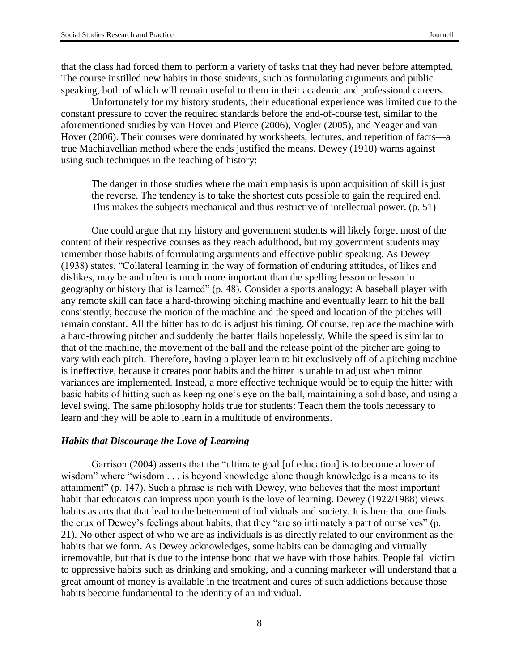that the class had forced them to perform a variety of tasks that they had never before attempted. The course instilled new habits in those students, such as formulating arguments and public speaking, both of which will remain useful to them in their academic and professional careers.

Unfortunately for my history students, their educational experience was limited due to the constant pressure to cover the required standards before the end-of-course test, similar to the aforementioned studies by van Hover and Pierce (2006), Vogler (2005), and Yeager and van Hover (2006). Their courses were dominated by worksheets, lectures, and repetition of facts—a true Machiavellian method where the ends justified the means. Dewey (1910) warns against using such techniques in the teaching of history:

The danger in those studies where the main emphasis is upon acquisition of skill is just the reverse. The tendency is to take the shortest cuts possible to gain the required end. This makes the subjects mechanical and thus restrictive of intellectual power. (p. 51)

One could argue that my history and government students will likely forget most of the content of their respective courses as they reach adulthood, but my government students may remember those habits of formulating arguments and effective public speaking. As Dewey (1938) states, "Collateral learning in the way of formation of enduring attitudes, of likes and dislikes, may be and often is much more important than the spelling lesson or lesson in geography or history that is learned" (p. 48). Consider a sports analogy: A baseball player with any remote skill can face a hard-throwing pitching machine and eventually learn to hit the ball consistently, because the motion of the machine and the speed and location of the pitches will remain constant. All the hitter has to do is adjust his timing. Of course, replace the machine with a hard-throwing pitcher and suddenly the batter flails hopelessly. While the speed is similar to that of the machine, the movement of the ball and the release point of the pitcher are going to vary with each pitch. Therefore, having a player learn to hit exclusively off of a pitching machine is ineffective, because it creates poor habits and the hitter is unable to adjust when minor variances are implemented. Instead, a more effective technique would be to equip the hitter with basic habits of hitting such as keeping one's eye on the ball, maintaining a solid base, and using a level swing. The same philosophy holds true for students: Teach them the tools necessary to learn and they will be able to learn in a multitude of environments.

#### *Habits that Discourage the Love of Learning*

Garrison (2004) asserts that the "ultimate goal [of education] is to become a lover of wisdom" where "wisdom . . . is beyond knowledge alone though knowledge is a means to its attainment" (p. 147). Such a phrase is rich with Dewey, who believes that the most important habit that educators can impress upon youth is the love of learning. Dewey (1922/1988) views habits as arts that that lead to the betterment of individuals and society. It is here that one finds the crux of Dewey's feelings about habits, that they "are so intimately a part of ourselves" (p. 21). No other aspect of who we are as individuals is as directly related to our environment as the habits that we form. As Dewey acknowledges, some habits can be damaging and virtually irremovable, but that is due to the intense bond that we have with those habits. People fall victim to oppressive habits such as drinking and smoking, and a cunning marketer will understand that a great amount of money is available in the treatment and cures of such addictions because those habits become fundamental to the identity of an individual.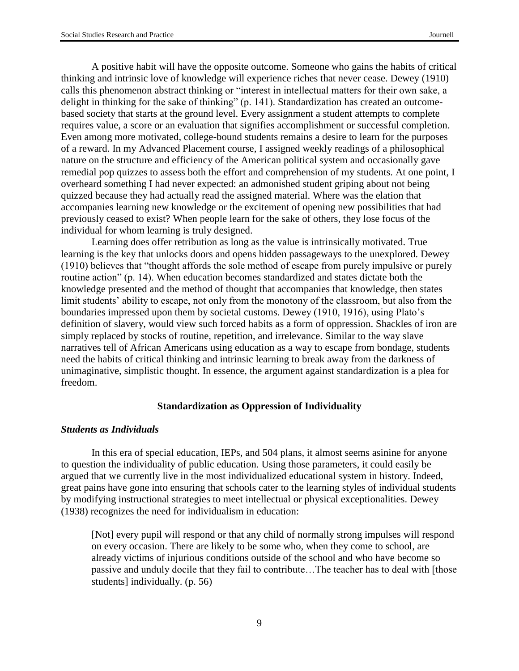A positive habit will have the opposite outcome. Someone who gains the habits of critical thinking and intrinsic love of knowledge will experience riches that never cease. Dewey (1910) calls this phenomenon abstract thinking or "interest in intellectual matters for their own sake, a delight in thinking for the sake of thinking" (p. 141). Standardization has created an outcomebased society that starts at the ground level. Every assignment a student attempts to complete requires value, a score or an evaluation that signifies accomplishment or successful completion. Even among more motivated, college-bound students remains a desire to learn for the purposes of a reward. In my Advanced Placement course, I assigned weekly readings of a philosophical nature on the structure and efficiency of the American political system and occasionally gave remedial pop quizzes to assess both the effort and comprehension of my students. At one point, I overheard something I had never expected: an admonished student griping about not being quizzed because they had actually read the assigned material. Where was the elation that accompanies learning new knowledge or the excitement of opening new possibilities that had previously ceased to exist? When people learn for the sake of others, they lose focus of the individual for whom learning is truly designed.

Learning does offer retribution as long as the value is intrinsically motivated. True learning is the key that unlocks doors and opens hidden passageways to the unexplored. Dewey (1910) believes that "thought affords the sole method of escape from purely impulsive or purely routine action" (p. 14). When education becomes standardized and states dictate both the knowledge presented and the method of thought that accompanies that knowledge, then states limit students' ability to escape, not only from the monotony of the classroom, but also from the boundaries impressed upon them by societal customs. Dewey (1910, 1916), using Plato's definition of slavery, would view such forced habits as a form of oppression. Shackles of iron are simply replaced by stocks of routine, repetition, and irrelevance. Similar to the way slave narratives tell of African Americans using education as a way to escape from bondage, students need the habits of critical thinking and intrinsic learning to break away from the darkness of unimaginative, simplistic thought. In essence, the argument against standardization is a plea for freedom.

#### **Standardization as Oppression of Individuality**

#### *Students as Individuals*

In this era of special education, IEPs, and 504 plans, it almost seems asinine for anyone to question the individuality of public education. Using those parameters, it could easily be argued that we currently live in the most individualized educational system in history. Indeed, great pains have gone into ensuring that schools cater to the learning styles of individual students by modifying instructional strategies to meet intellectual or physical exceptionalities. Dewey (1938) recognizes the need for individualism in education:

[Not] every pupil will respond or that any child of normally strong impulses will respond on every occasion. There are likely to be some who, when they come to school, are already victims of injurious conditions outside of the school and who have become so passive and unduly docile that they fail to contribute…The teacher has to deal with [those students] individually. (p. 56)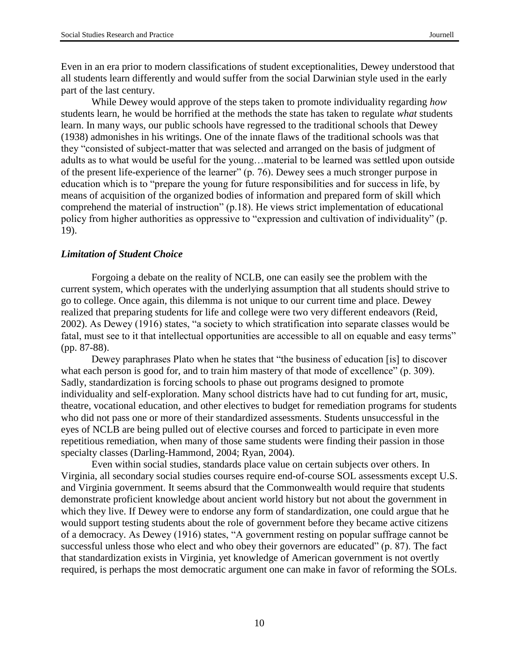Even in an era prior to modern classifications of student exceptionalities, Dewey understood that all students learn differently and would suffer from the social Darwinian style used in the early part of the last century.

While Dewey would approve of the steps taken to promote individuality regarding *how* students learn, he would be horrified at the methods the state has taken to regulate *what* students learn. In many ways, our public schools have regressed to the traditional schools that Dewey (1938) admonishes in his writings. One of the innate flaws of the traditional schools was that they "consisted of subject-matter that was selected and arranged on the basis of judgment of adults as to what would be useful for the young…material to be learned was settled upon outside of the present life-experience of the learner" (p. 76). Dewey sees a much stronger purpose in education which is to "prepare the young for future responsibilities and for success in life, by means of acquisition of the organized bodies of information and prepared form of skill which comprehend the material of instruction" (p.18). He views strict implementation of educational policy from higher authorities as oppressive to "expression and cultivation of individuality" (p. 19).

## *Limitation of Student Choice*

Forgoing a debate on the reality of NCLB, one can easily see the problem with the current system, which operates with the underlying assumption that all students should strive to go to college. Once again, this dilemma is not unique to our current time and place. Dewey realized that preparing students for life and college were two very different endeavors (Reid, 2002). As Dewey (1916) states, "a society to which stratification into separate classes would be fatal, must see to it that intellectual opportunities are accessible to all on equable and easy terms" (pp. 87-88).

Dewey paraphrases Plato when he states that "the business of education [is] to discover what each person is good for, and to train him mastery of that mode of excellence" (p. 309). Sadly, standardization is forcing schools to phase out programs designed to promote individuality and self-exploration. Many school districts have had to cut funding for art, music, theatre, vocational education, and other electives to budget for remediation programs for students who did not pass one or more of their standardized assessments. Students unsuccessful in the eyes of NCLB are being pulled out of elective courses and forced to participate in even more repetitious remediation, when many of those same students were finding their passion in those specialty classes (Darling-Hammond, 2004; Ryan, 2004).

Even within social studies, standards place value on certain subjects over others. In Virginia, all secondary social studies courses require end-of-course SOL assessments except U.S. and Virginia government. It seems absurd that the Commonwealth would require that students demonstrate proficient knowledge about ancient world history but not about the government in which they live. If Dewey were to endorse any form of standardization, one could argue that he would support testing students about the role of government before they became active citizens of a democracy. As Dewey (1916) states, "A government resting on popular suffrage cannot be successful unless those who elect and who obey their governors are educated" (p. 87). The fact that standardization exists in Virginia, yet knowledge of American government is not overtly required, is perhaps the most democratic argument one can make in favor of reforming the SOLs.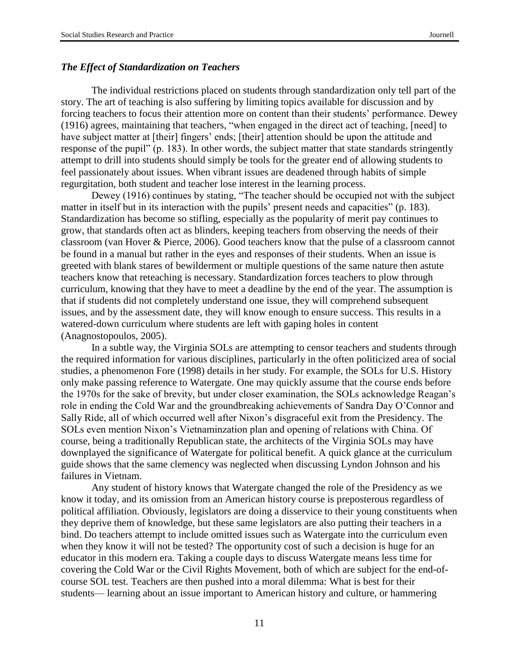## *The Effect of Standardization on Teachers*

The individual restrictions placed on students through standardization only tell part of the story. The art of teaching is also suffering by limiting topics available for discussion and by forcing teachers to focus their attention more on content than their students' performance. Dewey (1916) agrees, maintaining that teachers, "when engaged in the direct act of teaching, [need] to have subject matter at [their] fingers' ends; [their] attention should be upon the attitude and response of the pupil" (p. 183). In other words, the subject matter that state standards stringently attempt to drill into students should simply be tools for the greater end of allowing students to feel passionately about issues. When vibrant issues are deadened through habits of simple regurgitation, both student and teacher lose interest in the learning process.

Dewey (1916) continues by stating, "The teacher should be occupied not with the subject matter in itself but in its interaction with the pupils' present needs and capacities" (p. 183). Standardization has become so stifling, especially as the popularity of merit pay continues to grow, that standards often act as blinders, keeping teachers from observing the needs of their classroom (van Hover & Pierce, 2006). Good teachers know that the pulse of a classroom cannot be found in a manual but rather in the eyes and responses of their students. When an issue is greeted with blank stares of bewilderment or multiple questions of the same nature then astute teachers know that reteaching is necessary. Standardization forces teachers to plow through curriculum, knowing that they have to meet a deadline by the end of the year. The assumption is that if students did not completely understand one issue, they will comprehend subsequent issues, and by the assessment date, they will know enough to ensure success. This results in a watered-down curriculum where students are left with gaping holes in content (Anagnostopoulos, 2005).

In a subtle way, the Virginia SOLs are attempting to censor teachers and students through the required information for various disciplines, particularly in the often politicized area of social studies, a phenomenon Fore (1998) details in her study. For example, the SOLs for U.S. History only make passing reference to Watergate. One may quickly assume that the course ends before the 1970s for the sake of brevity, but under closer examination, the SOLs acknowledge Reagan's role in ending the Cold War and the groundbreaking achievements of Sandra Day O'Connor and Sally Ride, all of which occurred well after Nixon's disgraceful exit from the Presidency. The SOLs even mention Nixon's Vietnaminzation plan and opening of relations with China. Of course, being a traditionally Republican state, the architects of the Virginia SOLs may have downplayed the significance of Watergate for political benefit. A quick glance at the curriculum guide shows that the same clemency was neglected when discussing Lyndon Johnson and his failures in Vietnam.

Any student of history knows that Watergate changed the role of the Presidency as we know it today, and its omission from an American history course is preposterous regardless of political affiliation. Obviously, legislators are doing a disservice to their young constituents when they deprive them of knowledge, but these same legislators are also putting their teachers in a bind. Do teachers attempt to include omitted issues such as Watergate into the curriculum even when they know it will not be tested? The opportunity cost of such a decision is huge for an educator in this modern era. Taking a couple days to discuss Watergate means less time for covering the Cold War or the Civil Rights Movement, both of which are subject for the end-ofcourse SOL test. Teachers are then pushed into a moral dilemma: What is best for their students— learning about an issue important to American history and culture, or hammering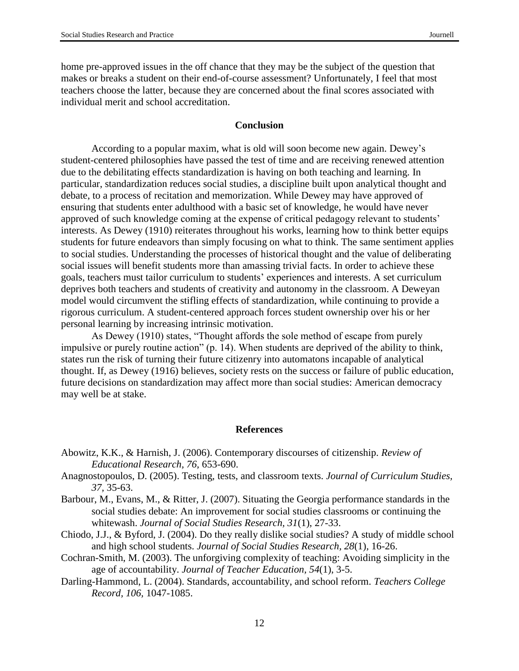home pre-approved issues in the off chance that they may be the subject of the question that makes or breaks a student on their end-of-course assessment? Unfortunately, I feel that most teachers choose the latter, because they are concerned about the final scores associated with individual merit and school accreditation.

#### **Conclusion**

According to a popular maxim, what is old will soon become new again. Dewey's student-centered philosophies have passed the test of time and are receiving renewed attention due to the debilitating effects standardization is having on both teaching and learning. In particular, standardization reduces social studies, a discipline built upon analytical thought and debate, to a process of recitation and memorization. While Dewey may have approved of ensuring that students enter adulthood with a basic set of knowledge, he would have never approved of such knowledge coming at the expense of critical pedagogy relevant to students' interests. As Dewey (1910) reiterates throughout his works, learning how to think better equips students for future endeavors than simply focusing on what to think. The same sentiment applies to social studies. Understanding the processes of historical thought and the value of deliberating social issues will benefit students more than amassing trivial facts. In order to achieve these goals, teachers must tailor curriculum to students' experiences and interests. A set curriculum deprives both teachers and students of creativity and autonomy in the classroom. A Deweyan model would circumvent the stifling effects of standardization, while continuing to provide a rigorous curriculum. A student-centered approach forces student ownership over his or her personal learning by increasing intrinsic motivation.

As Dewey (1910) states, "Thought affords the sole method of escape from purely impulsive or purely routine action" (p. 14). When students are deprived of the ability to think, states run the risk of turning their future citizenry into automatons incapable of analytical thought. If, as Dewey (1916) believes, society rests on the success or failure of public education, future decisions on standardization may affect more than social studies: American democracy may well be at stake.

#### **References**

- Abowitz, K.K., & Harnish, J. (2006). Contemporary discourses of citizenship. *Review of Educational Research, 76,* 653-690.
- Anagnostopoulos, D. (2005). Testing, tests, and classroom texts. *Journal of Curriculum Studies, 37,* 35-63.
- Barbour, M., Evans, M., & Ritter, J. (2007). Situating the Georgia performance standards in the social studies debate: An improvement for social studies classrooms or continuing the whitewash. *Journal of Social Studies Research, 31*(1), 27-33.
- Chiodo, J.J., & Byford, J. (2004). Do they really dislike social studies? A study of middle school and high school students. *Journal of Social Studies Research, 28*(1)*,* 16-26.
- Cochran-Smith, M. (2003). The unforgiving complexity of teaching: Avoiding simplicity in the age of accountability. *Journal of Teacher Education, 54*(1), 3-5.
- Darling-Hammond, L. (2004). Standards, accountability, and school reform. *Teachers College Record, 106,* 1047-1085.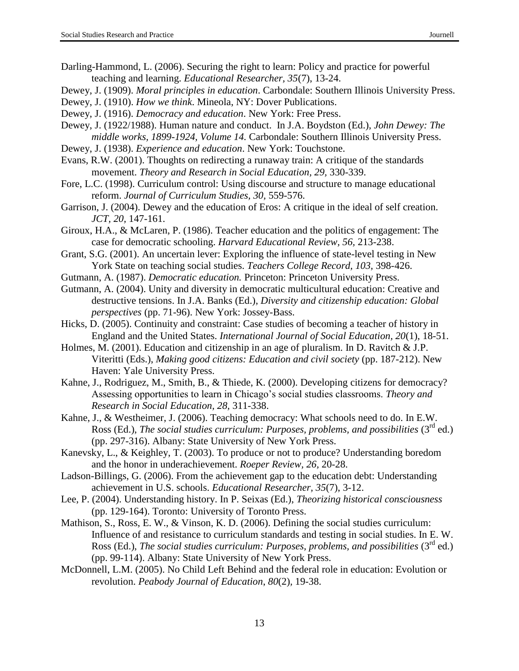- Darling-Hammond, L. (2006). Securing the right to learn: Policy and practice for powerful teaching and learning. *Educational Researcher, 35*(7), 13-24.
- Dewey, J. (1909). *Moral principles in education*. Carbondale: Southern Illinois University Press.
- Dewey, J. (1910). *How we think*. Mineola, NY: Dover Publications.
- Dewey, J. (1916). *Democracy and education*. New York: Free Press.
- Dewey, J. (1922/1988). Human nature and conduct. In J.A. Boydston (Ed.), *John Dewey: The middle works, 1899-1924, Volume 14.* Carbondale: Southern Illinois University Press.
- Dewey, J. (1938). *Experience and education*. New York: Touchstone.
- Evans, R.W. (2001). Thoughts on redirecting a runaway train: A critique of the standards movement. *Theory and Research in Social Education, 29,* 330-339.
- Fore, L.C. (1998). Curriculum control: Using discourse and structure to manage educational reform. *Journal of Curriculum Studies, 30,* 559-576.
- Garrison, J. (2004). Dewey and the education of Eros: A critique in the ideal of self creation. *JCT, 20,* 147-161.
- Giroux, H.A., & McLaren, P. (1986). Teacher education and the politics of engagement: The case for democratic schooling. *Harvard Educational Review, 56,* 213-238.
- Grant, S.G. (2001). An uncertain lever: Exploring the influence of state-level testing in New York State on teaching social studies. *Teachers College Record, 103,* 398-426.
- Gutmann, A. (1987). *Democratic education.* Princeton: Princeton University Press.
- Gutmann, A. (2004). Unity and diversity in democratic multicultural education: Creative and destructive tensions. In J.A. Banks (Ed.), *Diversity and citizenship education: Global perspectives* (pp. 71-96). New York: Jossey-Bass.
- Hicks, D. (2005). Continuity and constraint: Case studies of becoming a teacher of history in England and the United States. *International Journal of Social Education, 20*(1), 18-51.
- Holmes, M. (2001). Education and citizenship in an age of pluralism. In D. Ravitch & J.P. Viteritti (Eds.), *Making good citizens: Education and civil society* (pp. 187-212). New Haven: Yale University Press.
- Kahne, J., Rodriguez, M., Smith, B., & Thiede, K. (2000). Developing citizens for democracy? Assessing opportunities to learn in Chicago's social studies classrooms. *Theory and Research in Social Education, 28,* 311-338.
- Kahne, J., & Westheimer, J. (2006). Teaching democracy: What schools need to do. In E.W. Ross (Ed.), *The social studies curriculum: Purposes, problems, and possibilities* (3<sup>rd</sup> ed.) (pp. 297-316). Albany: State University of New York Press.
- Kanevsky, L., & Keighley, T. (2003). To produce or not to produce? Understanding boredom and the honor in underachievement. *Roeper Review, 26,* 20-28.
- Ladson-Billings, G. (2006). From the achievement gap to the education debt: Understanding achievement in U.S. schools. *Educational Researcher, 35*(7), 3-12.
- Lee, P. (2004). Understanding history. In P. Seixas (Ed.), *Theorizing historical consciousness*  (pp. 129-164). Toronto: University of Toronto Press.
- Mathison, S., Ross, E. W., & Vinson, K. D. (2006). Defining the social studies curriculum: Influence of and resistance to curriculum standards and testing in social studies. In E. W. Ross (Ed.), *The social studies curriculum: Purposes, problems, and possibilities* (3<sup>rd</sup> ed.) (pp. 99-114). Albany: State University of New York Press.
- McDonnell, L.M. (2005). No Child Left Behind and the federal role in education: Evolution or revolution. *Peabody Journal of Education*, *80*(2)*,* 19-38.